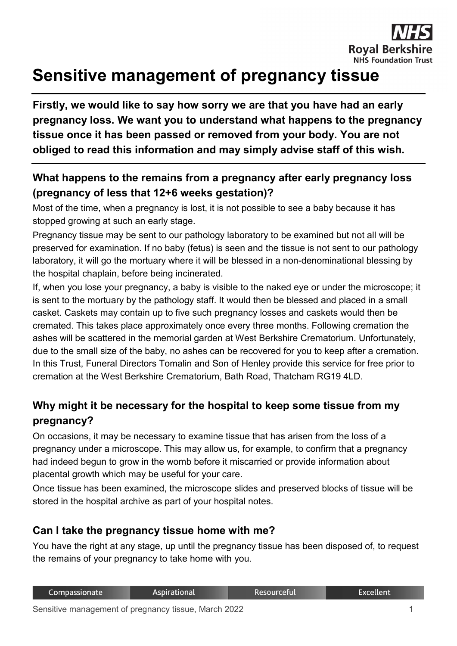# **Sensitive management of pregnancy tissue**

**Firstly, we would like to say how sorry we are that you have had an early pregnancy loss. We want you to understand what happens to the pregnancy tissue once it has been passed or removed from your body. You are not obliged to read this information and may simply advise staff of this wish.**

## **What happens to the remains from a pregnancy after early pregnancy loss (pregnancy of less that 12+6 weeks gestation)?**

Most of the time, when a pregnancy is lost, it is not possible to see a baby because it has stopped growing at such an early stage.

Pregnancy tissue may be sent to our pathology laboratory to be examined but not all will be preserved for examination. If no baby (fetus) is seen and the tissue is not sent to our pathology laboratory, it will go the mortuary where it will be blessed in a non-denominational blessing by the hospital chaplain, before being incinerated.

If, when you lose your pregnancy, a baby is visible to the naked eye or under the microscope; it is sent to the mortuary by the pathology staff. It would then be blessed and placed in a small casket. Caskets may contain up to five such pregnancy losses and caskets would then be cremated. This takes place approximately once every three months. Following cremation the ashes will be scattered in the memorial garden at West Berkshire Crematorium. Unfortunately, due to the small size of the baby, no ashes can be recovered for you to keep after a cremation. In this Trust, Funeral Directors Tomalin and Son of Henley provide this service for free prior to cremation at the West Berkshire Crematorium, Bath Road, Thatcham RG19 4LD.

## **Why might it be necessary for the hospital to keep some tissue from my pregnancy?**

On occasions, it may be necessary to examine tissue that has arisen from the loss of a pregnancy under a microscope. This may allow us, for example, to confirm that a pregnancy had indeed begun to grow in the womb before it miscarried or provide information about placental growth which may be useful for your care.

Once tissue has been examined, the microscope slides and preserved blocks of tissue will be stored in the hospital archive as part of your hospital notes.

### **Can I take the pregnancy tissue home with me?**

You have the right at any stage, up until the pregnancy tissue has been disposed of, to request the remains of your pregnancy to take home with you.

| Compassionate | Aspirational | Resourceful | <b>Excellent</b> |
|---------------|--------------|-------------|------------------|
|               |              |             |                  |